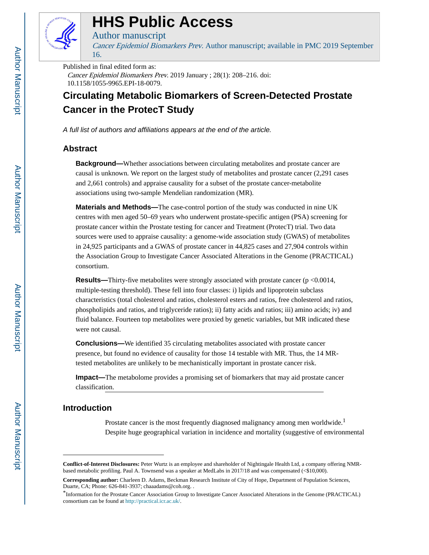

# **HHS Public Access**

## Author manuscript

Cancer Epidemiol Biomarkers Prev. Author manuscript; available in PMC 2019 September 16.

#### Published in final edited form as:

Cancer Epidemiol Biomarkers Prev. 2019 January ; 28(1): 208–216. doi: 10.1158/1055-9965.EPI-18-0079.

## **Circulating Metabolic Biomarkers of Screen-Detected Prostate Cancer in the ProtecT Study**

A full list of authors and affiliations appears at the end of the article.

## **Abstract**

**Background—**Whether associations between circulating metabolites and prostate cancer are causal is unknown. We report on the largest study of metabolites and prostate cancer (2,291 cases and 2,661 controls) and appraise causality for a subset of the prostate cancer-metabolite associations using two-sample Mendelian randomization (MR).

**Materials and Methods—**The case-control portion of the study was conducted in nine UK centres with men aged 50–69 years who underwent prostate-specific antigen (PSA) screening for prostate cancer within the Prostate testing for cancer and Treatment (ProtecT) trial. Two data sources were used to appraise causality: a genome-wide association study (GWAS) of metabolites in 24,925 participants and a GWAS of prostate cancer in 44,825 cases and 27,904 controls within the Association Group to Investigate Cancer Associated Alterations in the Genome (PRACTICAL) consortium.

**Results—Thirty-five metabolites were strongly associated with prostate cancer (p <0.0014,** multiple-testing threshold). These fell into four classes: i) lipids and lipoprotein subclass characteristics (total cholesterol and ratios, cholesterol esters and ratios, free cholesterol and ratios, phospholipids and ratios, and triglyceride ratios); ii) fatty acids and ratios; iii) amino acids; iv) and fluid balance. Fourteen top metabolites were proxied by genetic variables, but MR indicated these were not causal.

**Conclusions—**We identified 35 circulating metabolites associated with prostate cancer presence, but found no evidence of causality for those 14 testable with MR. Thus, the 14 MRtested metabolites are unlikely to be mechanistically important in prostate cancer risk.

**Impact—**The metabolome provides a promising set of biomarkers that may aid prostate cancer classification.

## **Introduction**

Prostate cancer is the most frequently diagnosed malignancy among men worldwide.<sup>1</sup> Despite huge geographical variation in incidence and mortality (suggestive of environmental

**Conflict-of-Interest Disclosures:** Peter Wurtz is an employee and shareholder of Nightingale Health Ltd, a company offering NMRbased metabolic profiling. Paul A. Townsend was a speaker at MedLabs in 2017/18 and was compensated (<\$10,000).

**Corresponding author:** Charleen D. Adams, Beckman Research Institute of City of Hope, Department of Population Sciences, Duarte, CA; Phone: 626-841-3937; chaaadams@coh.org. .

<sup>\*</sup>Information for the Prostate Cancer Association Group to Investigate Cancer Associated Alterations in the Genome (PRACTICAL) consortium can be found at<http://practical.icr.ac.uk/>.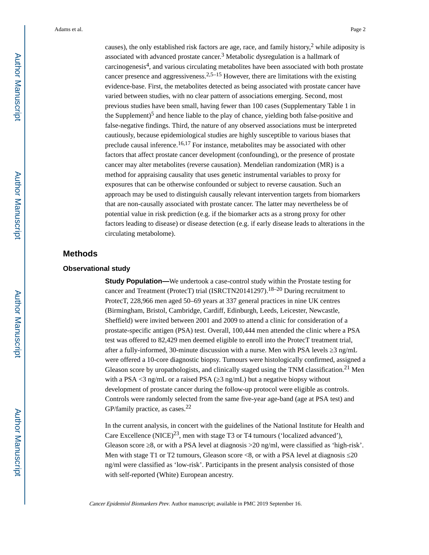causes), the only established risk factors are age, race, and family history,<sup>2</sup> while adiposity is associated with advanced prostate cancer.<sup>3</sup> Metabolic dysregulation is a hallmark of carcinogenesis<sup>4</sup> , and various circulating metabolites have been associated with both prostate cancer presence and aggressiveness.<sup>2,5–15</sup> However, there are limitations with the existing evidence-base. First, the metabolites detected as being associated with prostate cancer have varied between studies, with no clear pattern of associations emerging. Second, most previous studies have been small, having fewer than 100 cases (Supplementary Table 1 in the Supplement)<sup>5</sup> and hence liable to the play of chance, yielding both false-positive and false-negative findings. Third, the nature of any observed associations must be interpreted cautiously, because epidemiological studies are highly susceptible to various biases that preclude causal inference.<sup>16,17</sup> For instance, metabolites may be associated with other factors that affect prostate cancer development (confounding), or the presence of prostate cancer may alter metabolites (reverse causation). Mendelian randomization (MR) is a method for appraising causality that uses genetic instrumental variables to proxy for exposures that can be otherwise confounded or subject to reverse causation. Such an approach may be used to distinguish causally relevant intervention targets from biomarkers that are non-causally associated with prostate cancer. The latter may nevertheless be of potential value in risk prediction (e.g. if the biomarker acts as a strong proxy for other factors leading to disease) or disease detection (e.g. if early disease leads to alterations in the circulating metabolome).

## **Methods**

#### **Observational study**

**Study Population—**We undertook a case-control study within the Prostate testing for cancer and Treatment (ProtecT) trial (ISRCTN20141297).18–20 During recruitment to ProtecT, 228,966 men aged 50–69 years at 337 general practices in nine UK centres (Birmingham, Bristol, Cambridge, Cardiff, Edinburgh, Leeds, Leicester, Newcastle, Sheffield) were invited between 2001 and 2009 to attend a clinic for consideration of a prostate-specific antigen (PSA) test. Overall, 100,444 men attended the clinic where a PSA test was offered to 82,429 men deemed eligible to enroll into the ProtecT treatment trial, after a fully-informed, 30-minute discussion with a nurse. Men with PSA levels  $\frac{3 \text{ ng/mL}}{2}$ were offered a 10-core diagnostic biopsy. Tumours were histologically confirmed, assigned a Gleason score by uropathologists, and clinically staged using the TNM classification.<sup>21</sup> Men with a PSA  $\leq$ 3 ng/mL or a raised PSA ( $\leq$ 3 ng/mL) but a negative biopsy without development of prostate cancer during the follow-up protocol were eligible as controls. Controls were randomly selected from the same five-year age-band (age at PSA test) and GP/family practice, as cases.<sup>22</sup>

In the current analysis, in concert with the guidelines of the National Institute for Health and Care Excellence (NICE)<sup>23</sup>, men with stage T3 or T4 tumours ('localized advanced'), Gleason score  $\,8,$  or with a PSA level at diagnosis  $>20$  ng/ml, were classified as 'high-risk'. Men with stage T1 or T2 tumours, Gleason score  $\leq 8$ , or with a PSA level at diagnosis 20 ng/ml were classified as 'low-risk'. Participants in the present analysis consisted of those with self-reported (White) European ancestry.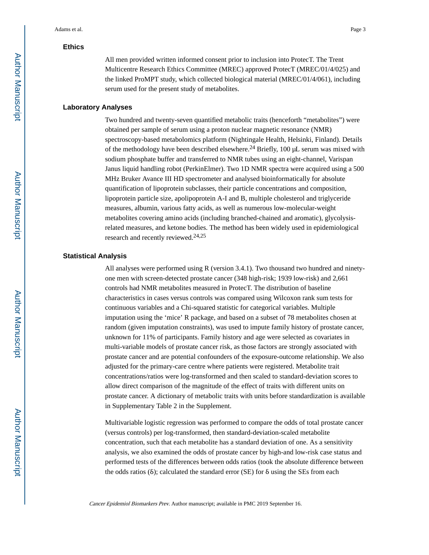#### **Ethics**

All men provided written informed consent prior to inclusion into ProtecT. The Trent Multicentre Research Ethics Committee (MREC) approved ProtecT (MREC/01/4/025) and the linked ProMPT study, which collected biological material (MREC/01/4/061), including serum used for the present study of metabolites.

#### **Laboratory Analyses**

Two hundred and twenty-seven quantified metabolic traits (henceforth "metabolites") were obtained per sample of serum using a proton nuclear magnetic resonance (NMR) spectroscopy-based metabolomics platform (Nightingale Health, Helsinki, Finland). Details of the methodology have been described elsewhere.<sup>24</sup> Briefly, 100  $\mu$ L serum was mixed with sodium phosphate buffer and transferred to NMR tubes using an eight-channel, Varispan Janus liquid handling robot (PerkinElmer). Two 1D NMR spectra were acquired using a 500 MHz Bruker Avance III HD spectrometer and analysed bioinformatically for absolute quantification of lipoprotein subclasses, their particle concentrations and composition, lipoprotein particle size, apolipoprotein A-I and B, multiple cholesterol and triglyceride measures, albumin, various fatty acids, as well as numerous low-molecular-weight metabolites covering amino acids (including branched-chained and aromatic), glycolysisrelated measures, and ketone bodies. The method has been widely used in epidemiological research and recently reviewed.<sup>24,25</sup>

#### **Statistical Analysis**

All analyses were performed using R (version 3.4.1). Two thousand two hundred and ninetyone men with screen-detected prostate cancer (348 high-risk; 1939 low-risk) and 2,661 controls had NMR metabolites measured in ProtecT. The distribution of baseline characteristics in cases versus controls was compared using Wilcoxon rank sum tests for continuous variables and a Chi-squared statistic for categorical variables. Multiple imputation using the 'mice' R package, and based on a subset of 78 metabolites chosen at random (given imputation constraints), was used to impute family history of prostate cancer, unknown for 11% of participants. Family history and age were selected as covariates in multi-variable models of prostate cancer risk, as those factors are strongly associated with prostate cancer and are potential confounders of the exposure-outcome relationship. We also adjusted for the primary-care centre where patients were registered. Metabolite trait concentrations/ratios were log-transformed and then scaled to standard-deviation scores to allow direct comparison of the magnitude of the effect of traits with different units on prostate cancer. A dictionary of metabolic traits with units before standardization is available in Supplementary Table 2 in the Supplement.

Multivariable logistic regression was performed to compare the odds of total prostate cancer (versus controls) per log-transformed, then standard-deviation-scaled metabolite concentration, such that each metabolite has a standard deviation of one. As a sensitivity analysis, we also examined the odds of prostate cancer by high-and low-risk case status and performed tests of the differences between odds ratios (took the absolute difference between the odds ratios (δ); calculated the standard error (SE) for  $\delta$  using the SEs from each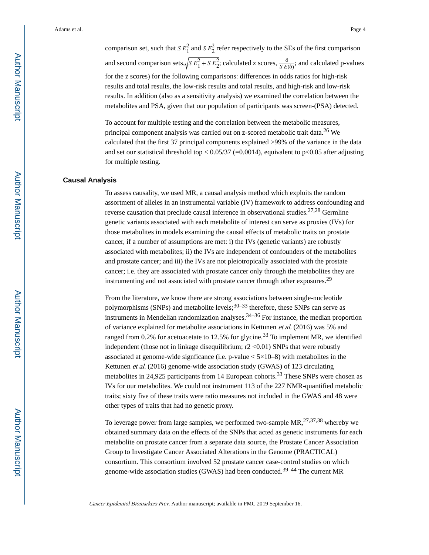comparison set, such that *S*  $E_1^2$  and *S*  $E_2^2$ <br>and second comparison sets...  $\sqrt{SE_1^2 + S}$  $^2$  and  $\mathcal{S}F^2$ and *S*  $E_2^2$  refer res  $\frac{2}{2}$  refer respectively to the SEs of the first comparison and second comparison sets,  $\sqrt{S E_1^2 + S E_2^2}$ ; calculated z scores,  $\frac{\delta}{S E(\delta)}$ ; and c e SEs of the fi<br> $\frac{\delta}{SE(\delta)}$ ; and cal<br>odds ratios fo ; and calculated p-values for the z scores) for the following comparisons: differences in odds ratios for high-risk results and total results, the low-risk results and total results, and high-risk and low-risk results. In addition (also as a sensitivity analysis) we examined the correlation between the metabolites and PSA, given that our population of participants was screen-(PSA) detected.

To account for multiple testing and the correlation between the metabolic measures, principal component analysis was carried out on z-scored metabolic trait data.<sup>26</sup> We calculated that the first 37 principal components explained >99% of the variance in the data and set our statistical threshold top  $\lt$  0.05/37 (=0.0014), equivalent to p $\lt$ 0.05 after adjusting for multiple testing.

#### **Causal Analysis**

To assess causality, we used MR, a causal analysis method which exploits the random assortment of alleles in an instrumental variable (IV) framework to address confounding and reverse causation that preclude causal inference in observational studies.<sup>27,28</sup> Germline genetic variants associated with each metabolite of interest can serve as proxies (IVs) for those metabolites in models examining the causal effects of metabolic traits on prostate cancer, if a number of assumptions are met: i) the IVs (genetic variants) are robustly associated with metabolites; ii) the IVs are independent of confounders of the metabolites and prostate cancer; and iii) the IVs are not pleiotropically associated with the prostate cancer; i.e. they are associated with prostate cancer only through the metabolites they are instrumenting and not associated with prostate cancer through other exposures.<sup>29</sup>

From the literature, we know there are strong associations between single-nucleotide polymorphisms (SNPs) and metabolite levels;<sup>30–33</sup> therefore, these SNPs can serve as instruments in Mendelian randomization analyses.34–36 For instance, the median proportion of variance explained for metabolite associations in Kettunen et al. (2016) was 5% and ranged from 0.2% for acetoacetate to 12.5% for glycine.<sup>33</sup> To implement MR, we identified independent (those not in linkage disequilibrium;  $r2 < 0.01$ ) SNPs that were robustly associated at genome-wide signficance (i.e. p-value  $\lt 5\times10-8$ ) with metabolites in the Kettunen et al. (2016) genome-wide association study (GWAS) of 123 circulating metabolites in 24,925 participants from 14 European cohorts.33 These SNPs were chosen as IVs for our metabolites. We could not instrument 113 of the 227 NMR-quantified metabolic traits; sixty five of these traits were ratio measures not included in the GWAS and 48 were other types of traits that had no genetic proxy.

To leverage power from large samples, we performed two-sample  $MR$ ,  $^{27,37,38}$  whereby we obtained summary data on the effects of the SNPs that acted as genetic instruments for each metabolite on prostate cancer from a separate data source, the Prostate Cancer Association Group to Investigate Cancer Associated Alterations in the Genome (PRACTICAL) consortium. This consortium involved 52 prostate cancer case-control studies on which genome-wide association studies (GWAS) had been conducted.39–44 The current MR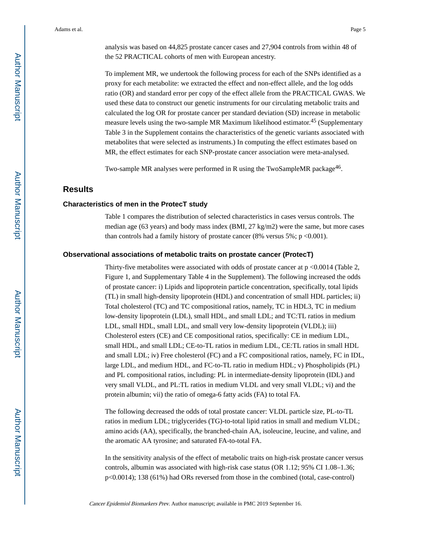analysis was based on 44,825 prostate cancer cases and 27,904 controls from within 48 of the 52 PRACTICAL cohorts of men with European ancestry.

To implement MR, we undertook the following process for each of the SNPs identified as a proxy for each metabolite: we extracted the effect and non-effect allele, and the log odds ratio (OR) and standard error per copy of the effect allele from the PRACTICAL GWAS. We used these data to construct our genetic instruments for our circulating metabolic traits and calculated the log OR for prostate cancer per standard deviation (SD) increase in metabolic measure levels using the two-sample MR Maximum likelihood estimator.45 (Supplementary Table 3 in the Supplement contains the characteristics of the genetic variants associated with metabolites that were selected as instruments.) In computing the effect estimates based on MR, the effect estimates for each SNP-prostate cancer association were meta-analysed.

Two-sample MR analyses were performed in R using the TwoSampleMR package<sup>46</sup>.

#### **Results**

#### **Characteristics of men in the ProtecT study**

Table 1 compares the distribution of selected characteristics in cases versus controls. The median age (63 years) and body mass index (BMI, 27 kg/m2) were the same, but more cases than controls had a family history of prostate cancer (8% versus  $5\%$ ; p <0.001).

#### **Observational associations of metabolic traits on prostate cancer (ProtecT)**

Thirty-five metabolites were associated with odds of prostate cancer at p <0.0014 (Table 2, Figure 1, and Supplementary Table 4 in the Supplement). The following increased the odds of prostate cancer: i) Lipids and lipoprotein particle concentration, specifically, total lipids (TL) in small high-density lipoprotein (HDL) and concentration of small HDL particles; ii) Total cholesterol (TC) and TC compositional ratios, namely, TC in HDL3, TC in medium low-density lipoprotein (LDL), small HDL, and small LDL; and TC:TL ratios in medium LDL, small HDL, small LDL, and small very low-density lipoprotein (VLDL); iii) Cholesterol esters (CE) and CE compositional ratios, specifically: CE in medium LDL, small HDL, and small LDL; CE-to-TL ratios in medium LDL, CE:TL ratios in small HDL and small LDL; iv) Free cholesterol (FC) and a FC compositional ratios, namely, FC in IDL, large LDL, and medium HDL, and FC-to-TL ratio in medium HDL; v) Phospholipids (PL) and PL compositional ratios, including: PL in intermediate-density lipoprotein (IDL) and very small VLDL, and PL:TL ratios in medium VLDL and very small VLDL; vi) and the protein albumin; vii) the ratio of omega-6 fatty acids (FA) to total FA.

The following decreased the odds of total prostate cancer: VLDL particle size, PL-to-TL ratios in medium LDL; triglycerides (TG)-to-total lipid ratios in small and medium VLDL; amino acids (AA), specifically, the branched-chain AA, isoleucine, leucine, and valine, and the aromatic AA tyrosine; and saturated FA-to-total FA.

In the sensitivity analysis of the effect of metabolic traits on high-risk prostate cancer versus controls, albumin was associated with high-risk case status (OR 1.12; 95% CI 1.08–1.36; p<0.0014); 138 (61%) had ORs reversed from those in the combined (total, case-control)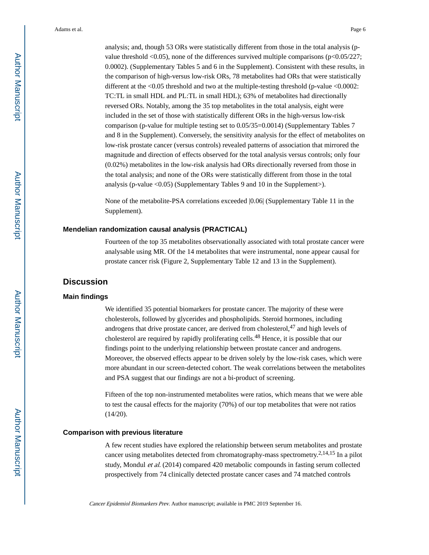analysis; and, though 53 ORs were statistically different from those in the total analysis (pvalue threshold <0.05), none of the differences survived multiple comparisons (p<0.05/227; 0.0002). (Supplementary Tables 5 and 6 in the Supplement). Consistent with these results, in the comparison of high-versus low-risk ORs, 78 metabolites had ORs that were statistically different at the <0.05 threshold and two at the multiple-testing threshold (p-value <0.0002: TC:TL in small HDL and PL:TL in small HDL); 63% of metabolites had directionally reversed ORs. Notably, among the 35 top metabolites in the total analysis, eight were included in the set of those with statistically different ORs in the high-versus low-risk comparison (p-value for multiple testing set to 0.05/35=0.0014) (Supplementary Tables 7 and 8 in the Supplement). Conversely, the sensitivity analysis for the effect of metabolites on low-risk prostate cancer (versus controls) revealed patterns of association that mirrored the magnitude and direction of effects observed for the total analysis versus controls; only four (0.02%) metabolites in the low-risk analysis had ORs directionally reversed from those in the total analysis; and none of the ORs were statistically different from those in the total analysis (p-value  $\langle 0.05 \rangle$  (Supplementary Tables 9 and 10 in the Supplement>).

None of the metabolite-PSA correlations exceeded |0.06| (Supplementary Table 11 in the Supplement).

#### **Mendelian randomization causal analysis (PRACTICAL)**

Fourteen of the top 35 metabolites observationally associated with total prostate cancer were analysable using MR. Of the 14 metabolites that were instrumental, none appear causal for prostate cancer risk (Figure 2, Supplementary Table 12 and 13 in the Supplement).

### **Discussion**

#### **Main findings**

We identified 35 potential biomarkers for prostate cancer. The majority of these were cholesterols, followed by glycerides and phospholipids. Steroid hormones, including androgens that drive prostate cancer, are derived from cholesterol,  $47$  and high levels of cholesterol are required by rapidly proliferating cells.48 Hence, it is possible that our findings point to the underlying relationship between prostate cancer and androgens. Moreover, the observed effects appear to be driven solely by the low-risk cases, which were more abundant in our screen-detected cohort. The weak correlations between the metabolites and PSA suggest that our findings are not a bi-product of screening.

Fifteen of the top non-instrumented metabolites were ratios, which means that we were able to test the causal effects for the majority (70%) of our top metabolites that were not ratios (14/20).

#### **Comparison with previous literature**

A few recent studies have explored the relationship between serum metabolites and prostate cancer using metabolites detected from chromatography-mass spectrometry.2,14,15 In a pilot study, Mondul et al. (2014) compared 420 metabolic compounds in fasting serum collected prospectively from 74 clinically detected prostate cancer cases and 74 matched controls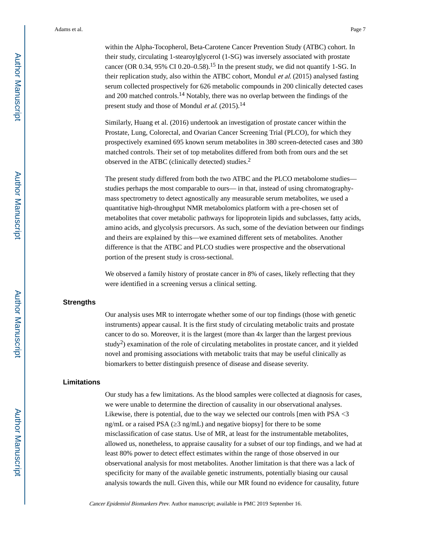within the Alpha-Tocopherol, Beta-Carotene Cancer Prevention Study (ATBC) cohort. In their study, circulating 1-stearoylglycerol (1-SG) was inversely associated with prostate cancer (OR  $0.34$ ,  $95\%$  CI  $0.20-0.58$ ).<sup>15</sup> In the present study, we did not quantify 1-SG. In their replication study, also within the ATBC cohort, Mondul et al. (2015) analysed fasting serum collected prospectively for 626 metabolic compounds in 200 clinically detected cases and 200 matched controls.14 Notably, there was no overlap between the findings of the present study and those of Mondul et al. (2015).<sup>14</sup>

Similarly, Huang et al. (2016) undertook an investigation of prostate cancer within the Prostate, Lung, Colorectal, and Ovarian Cancer Screening Trial (PLCO), for which they prospectively examined 695 known serum metabolites in 380 screen-detected cases and 380 matched controls. Their set of top metabolites differed from both from ours and the set observed in the ATBC (clinically detected) studies.<sup>2</sup>

The present study differed from both the two ATBC and the PLCO metabolome studies studies perhaps the most comparable to ours— in that, instead of using chromatographymass spectrometry to detect agnostically any measurable serum metabolites, we used a quantitative high-throughput NMR metabolomics platform with a pre-chosen set of metabolites that cover metabolic pathways for lipoprotein lipids and subclasses, fatty acids, amino acids, and glycolysis precursors. As such, some of the deviation between our findings and theirs are explained by this—we examined different sets of metabolites. Another difference is that the ATBC and PLCO studies were prospective and the observational portion of the present study is cross-sectional.

We observed a family history of prostate cancer in 8% of cases, likely reflecting that they were identified in a screening versus a clinical setting.

#### **Strengths**

Our analysis uses MR to interrogate whether some of our top findings (those with genetic instruments) appear causal. It is the first study of circulating metabolic traits and prostate cancer to do so. Moreover, it is the largest (more than 4x larger than the largest previous study<sup>2</sup>) examination of the role of circulating metabolites in prostate cancer, and it yielded novel and promising associations with metabolic traits that may be useful clinically as biomarkers to better distinguish presence of disease and disease severity.

#### **Limitations**

Our study has a few limitations. As the blood samples were collected at diagnosis for cases, we were unable to determine the direction of causality in our observational analyses. Likewise, there is potential, due to the way we selected our controls [men with PSA <3 ng/mL or a raised PSA ( $\sqrt{3}$  ng/mL) and negative biopsy] for there to be some misclassification of case status. Use of MR, at least for the instrumentable metabolites, allowed us, nonetheless, to appraise causality for a subset of our top findings, and we had at least 80% power to detect effect estimates within the range of those observed in our observational analysis for most metabolites. Another limitation is that there was a lack of specificity for many of the available genetic instruments, potentially biasing our causal analysis towards the null. Given this, while our MR found no evidence for causality, future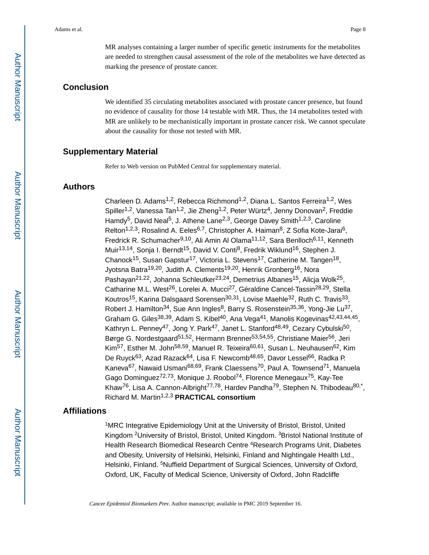MR analyses containing a larger number of specific genetic instruments for the metabolites are needed to strengthen causal assessment of the role of the metabolites we have detected as marking the presence of prostate cancer.

## **Conclusion**

We identified 35 circulating metabolites associated with prostate cancer presence, but found no evidence of causality for those 14 testable with MR. Thus, the 14 metabolites tested with MR are unlikely to be mechanistically important in prostate cancer risk. We cannot speculate about the causality for those not tested with MR.

## **Supplementary Material**

Refer to Web version on PubMed Central for supplementary material.

## **Authors**

Charleen D. Adams<sup>1,2</sup>, Rebecca Richmond<sup>1,2</sup>, Diana L. Santos Ferreira<sup>1,2</sup>, Wes Spiller<sup>1,2</sup>, Vanessa Tan<sup>1,2</sup>, Jie Zheng<sup>1,2</sup>, Peter Würtz<sup>4</sup>, Jenny Donovan<sup>2</sup>, Freddie Hamdy<sup>5</sup>, David Neal<sup>5</sup>, J. Athene Lane<sup>2,3</sup>, George Davey Smith<sup>1,2,3</sup>, Caroline Relton<sup>1,2,3</sup>, Rosalind A. Eeles<sup>6,7</sup>, Christopher A. Haiman<sup>8</sup>, Z Sofia Kote-Jarai<sup>6</sup>, Fredrick R. Schumacher<sup>9,10</sup>, Ali Amin Al Olama<sup>11,12</sup>, Sara Benlloch<sup>6,11</sup>, Kenneth Muir<sup>13,14</sup>, Sonja I. Berndt<sup>15</sup>, David V. Conti<sup>8</sup>, Fredrik Wiklund<sup>16</sup>, Stephen J. Chanock<sup>15</sup>, Susan Gapstur<sup>17</sup>, Victoria L. Stevens<sup>17</sup>, Catherine M. Tangen<sup>18</sup>, Jyotsna Batra<sup>19,20</sup>, Judith A. Clements<sup>19,20</sup>, Henrik Gronberg<sup>16</sup>, Nora Pashayan<sup>21,22</sup>, Johanna Schleutker<sup>23,24</sup>, Demetrius Albanes<sup>15</sup>, Alicja Wolk<sup>25</sup>, Catharine M.L. West<sup>26</sup>, Lorelei A. Mucci<sup>27</sup>, Géraldine Cancel-Tassin<sup>28,29</sup>, Stella Koutros<sup>15</sup>, Karina Dalsgaard Sorensen<sup>30,31</sup>, Lovise Maehle<sup>32</sup>, Ruth C. Travis<sup>33</sup>, Robert J. Hamilton<sup>34</sup>, Sue Ann Ingles<sup>8</sup>, Barry S. Rosenstein<sup>35,36</sup>, Yong-Jie Lu<sup>37</sup>, Graham G. Giles<sup>38,39</sup>, Adam S. Kibel<sup>40</sup>, Ana Vega<sup>41</sup>, Manolis Kogevinas<sup>42,43,44,45</sup>, Kathryn L. Penney<sup>47</sup>, Jong Y. Park<sup>47</sup>, Janet L. Stanford<sup>48,49</sup>, Cezary Cybulski<sup>50</sup>, Børge G. Nordestgaard<sup>51,52</sup>, Hermann Brenner<sup>53,54,55</sup>, Christiane Maier<sup>56</sup>, Jeri Kim<sup>57</sup>, Esther M. John<sup>58,59</sup>, Manuel R. Teixeira<sup>60,61</sup>, Susan L. Neuhausen<sup>62</sup>, Kim De Ruyck<sup>63</sup>, Azad Razack<sup>64</sup>, Lisa F. Newcomb<sup>48,65</sup>, Davor Lessel<sup>66</sup>, Radka P. Kaneva<sup>67</sup>, Nawaid Usmani<sup>68,69</sup>, Frank Claessens<sup>70</sup>, Paul A. Townsend<sup>71</sup>, Manuela Gago Dominguez<sup>72,73</sup>, Monique J. Roobol<sup>74</sup>, Florence Menegaux<sup>75</sup>, Kay-Tee Khaw<sup>76</sup>, Lisa A. Cannon-Albright<sup>77,78</sup>, Hardev Pandha<sup>79</sup>, Stephen N. Thibodeau<sup>80,\*</sup>, Richard M. Martin1,2,3 **PRACTICAL consortium**

## **Affiliations**

<sup>1</sup>MRC Integrative Epidemiology Unit at the University of Bristol, Bristol, United Kingdom <sup>2</sup>University of Bristol, Bristol, United Kingdom. <sup>3</sup>Bristol National Institute of Health Research Biomedical Research Centre <sup>4</sup>Research Programs Unit, Diabetes and Obesity, University of Helsinki, Helsinki, Finland and Nightingale Health Ltd., Helsinki, Finland. <sup>5</sup>Nuffield Department of Surgical Sciences, University of Oxford, Oxford, UK, Faculty of Medical Science, University of Oxford, John Radcliffe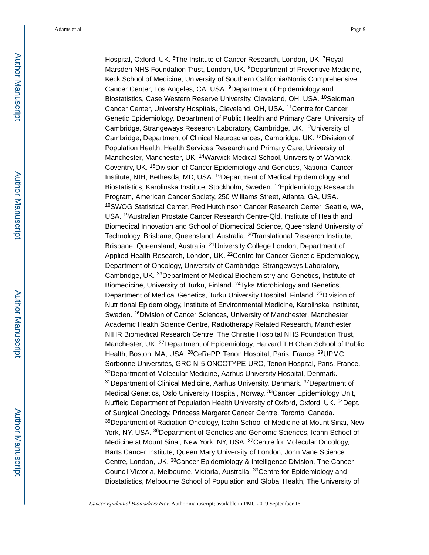Hospital, Oxford, UK. <sup>6</sup>The Institute of Cancer Research, London, UK. <sup>7</sup>Royal Marsden NHS Foundation Trust, London, UK. <sup>8</sup>Department of Preventive Medicine, Keck School of Medicine, University of Southern California/Norris Comprehensive Cancer Center, Los Angeles, CA, USA. <sup>9</sup>Department of Epidemiology and Biostatistics, Case Western Reserve University, Cleveland, OH, USA. <sup>10</sup>Seidman Cancer Center, University Hospitals, Cleveland, OH, USA. <sup>11</sup>Centre for Cancer Genetic Epidemiology, Department of Public Health and Primary Care, University of Cambridge, Strangeways Research Laboratory, Cambridge, UK. <sup>12</sup>University of Cambridge, Department of Clinical Neurosciences, Cambridge, UK. <sup>13</sup>Division of Population Health, Health Services Research and Primary Care, University of Manchester, Manchester, UK. <sup>14</sup>Warwick Medical School, University of Warwick, Coventry, UK. <sup>15</sup>Division of Cancer Epidemiology and Genetics, National Cancer Institute, NIH, Bethesda, MD, USA. <sup>16</sup>Department of Medical Epidemiology and Biostatistics, Karolinska Institute, Stockholm, Sweden. <sup>17</sup>Epidemiology Research Program, American Cancer Society, 250 Williams Street, Atlanta, GA, USA. <sup>18</sup>SWOG Statistical Center, Fred Hutchinson Cancer Research Center, Seattle, WA, USA. <sup>19</sup>Australian Prostate Cancer Research Centre-Qld, Institute of Health and Biomedical Innovation and School of Biomedical Science, Queensland University of Technology, Brisbane, Queensland, Australia. <sup>20</sup>Translational Research Institute, Brisbane, Queensland, Australia. <sup>21</sup>University College London, Department of Applied Health Research, London, UK. <sup>22</sup>Centre for Cancer Genetic Epidemiology, Department of Oncology, University of Cambridge, Strangeways Laboratory, Cambridge, UK. <sup>23</sup>Department of Medical Biochemistry and Genetics, Institute of Biomedicine, University of Turku, Finland. <sup>24</sup>Tyks Microbiology and Genetics, Department of Medical Genetics, Turku University Hospital, Finland. <sup>25</sup>Division of Nutritional Epidemiology, Institute of Environmental Medicine, Karolinska Institutet, Sweden. <sup>26</sup>Division of Cancer Sciences, University of Manchester, Manchester Academic Health Science Centre, Radiotherapy Related Research, Manchester NIHR Biomedical Research Centre, The Christie Hospital NHS Foundation Trust, Manchester, UK. <sup>27</sup>Department of Epidemiology, Harvard T.H Chan School of Public Health, Boston, MA, USA. <sup>28</sup>CeRePP, Tenon Hospital, Paris, France. <sup>29</sup>UPMC Sorbonne Universités, GRC N°5 ONCOTYPE-URO, Tenon Hospital, Paris, France. <sup>30</sup>Department of Molecular Medicine, Aarhus University Hospital, Denmark. <sup>31</sup>Department of Clinical Medicine, Aarhus University, Denmark, <sup>32</sup>Department of Medical Genetics, Oslo University Hospital, Norway. <sup>33</sup>Cancer Epidemiology Unit, Nuffield Department of Population Health University of Oxford, Oxford, UK. <sup>34</sup>Dept. of Surgical Oncology, Princess Margaret Cancer Centre, Toronto, Canada. <sup>35</sup>Department of Radiation Oncology, Icahn School of Medicine at Mount Sinai, New York, NY, USA. <sup>36</sup>Department of Genetics and Genomic Sciences, Icahn School of Medicine at Mount Sinai, New York, NY, USA. <sup>37</sup>Centre for Molecular Oncology, Barts Cancer Institute, Queen Mary University of London, John Vane Science Centre, London, UK. <sup>38</sup>Cancer Epidemiology & Intelligence Division, The Cancer Council Victoria, Melbourne, Victoria, Australia. <sup>39</sup>Centre for Epidemiology and Biostatistics, Melbourne School of Population and Global Health, The University of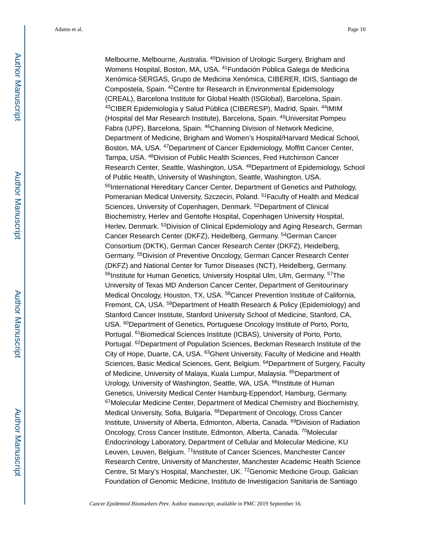Melbourne, Melbourne, Australia. <sup>40</sup>Division of Urologic Surgery, Brigham and Womens Hospital, Boston, MA, USA. <sup>41</sup>Fundación Pública Galega de Medicina Xenómica-SERGAS, Grupo de Medicina Xenómica, CIBERER, IDIS, Santiago de Compostela, Spain. <sup>42</sup>Centre for Research in Environmental Epidemiology (CREAL), Barcelona Institute for Global Health (ISGlobal), Barcelona, Spain. <sup>43</sup>CIBER Epidemiología y Salud Pública (CIBERESP), Madrid, Spain. <sup>44</sup>IMIM (Hospital del Mar Research Institute), Barcelona, Spain. <sup>45</sup>Universitat Pompeu Fabra (UPF), Barcelona, Spain. <sup>46</sup>Channing Division of Network Medicine, Department of Medicine, Brigham and Women's Hospital/Harvard Medical School, Boston, MA, USA. <sup>47</sup>Department of Cancer Epidemiology, Moffitt Cancer Center, Tampa, USA. <sup>48</sup>Division of Public Health Sciences, Fred Hutchinson Cancer Research Center, Seattle, Washington, USA. <sup>49</sup>Department of Epidemiology, School of Public Health, University of Washington, Seattle, Washington, USA. 50International Hereditary Cancer Center, Department of Genetics and Pathology, Pomeranian Medical University, Szczecin, Poland. <sup>51</sup> Faculty of Health and Medical Sciences, University of Copenhagen, Denmark. <sup>52</sup>Department of Clinical Biochemistry, Herlev and Gentofte Hospital, Copenhagen University Hospital, Herlev, Denmark. <sup>53</sup>Division of Clinical Epidemiology and Aging Research, German Cancer Research Center (DKFZ), Heidelberg, Germany. <sup>54</sup>German Cancer Consortium (DKTK), German Cancer Research Center (DKFZ), Heidelberg, Germany. <sup>55</sup>Division of Preventive Oncology, German Cancer Research Center (DKFZ) and National Center for Tumor Diseases (NCT), Heidelberg, Germany. 56Institute for Human Genetics, University Hospital Ulm, Ulm, Germany. 57The University of Texas MD Anderson Cancer Center, Department of Genitourinary Medical Oncology, Houston, TX, USA. <sup>58</sup>Cancer Prevention Institute of California, Fremont, CA, USA. 59 Department of Health Research & Policy (Epidemiology) and Stanford Cancer Institute, Stanford University School of Medicine, Stanford, CA, USA. <sup>60</sup>Department of Genetics, Portuguese Oncology Institute of Porto, Porto, Portugal. <sup>61</sup>Biomedical Sciences Institute (ICBAS), University of Porto, Porto, Portugal. <sup>62</sup>Department of Population Sciences, Beckman Research Institute of the City of Hope, Duarte, CA, USA. <sup>63</sup>Ghent University, Faculty of Medicine and Health Sciences, Basic Medical Sciences, Gent, Belgium. <sup>64</sup>Department of Surgery, Faculty of Medicine, University of Malaya, Kuala Lumpur, Malaysia. 65Department of Urology, University of Washington, Seattle, WA, USA. <sup>66</sup>Institute of Human Genetics, University Medical Center Hamburg-Eppendorf, Hamburg, Germany. <sup>67</sup>Molecular Medicine Center, Department of Medical Chemistry and Biochemistry, Medical University, Sofia, Bulgaria. <sup>68</sup>Department of Oncology, Cross Cancer Institute, University of Alberta, Edmonton, Alberta, Canada. <sup>69</sup>Division of Radiation Oncology, Cross Cancer Institute, Edmonton, Alberta, Canada. <sup>70</sup>Molecular Endocrinology Laboratory, Department of Cellular and Molecular Medicine, KU Leuven, Leuven, Belgium. <sup>71</sup>Institute of Cancer Sciences, Manchester Cancer Research Centre, University of Manchester, Manchester Academic Health Science Centre, St Mary's Hospital, Manchester, UK. <sup>72</sup>Genomic Medicine Group, Galician Foundation of Genomic Medicine, Instituto de Investigacion Sanitaria de Santiago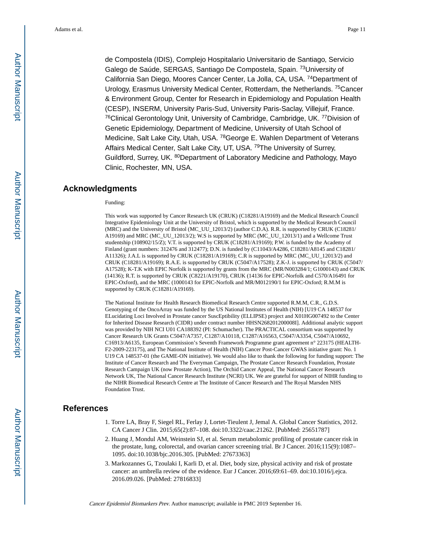de Compostela (IDIS), Complejo Hospitalario Universitario de Santiago, Servicio Galego de Saúde, SERGAS, Santiago De Compostela, Spain. <sup>73</sup>University of California San Diego, Moores Cancer Center, La Jolla, CA, USA. <sup>74</sup>Department of Urology, Erasmus University Medical Center, Rotterdam, the Netherlands. <sup>75</sup>Cancer & Environment Group, Center for Research in Epidemiology and Population Health (CESP), INSERM, University Paris-Sud, University Paris-Saclay, Villejuif, France. <sup>76</sup>Clinical Gerontology Unit, University of Cambridge, Cambridge, UK. <sup>77</sup>Division of Genetic Epidemiology, Department of Medicine, University of Utah School of Medicine, Salt Lake City, Utah, USA. <sup>78</sup>George E. Wahlen Department of Veterans Affairs Medical Center, Salt Lake City, UT, USA. <sup>79</sup>The University of Surrey, Guildford, Surrey, UK. 80 Department of Laboratory Medicine and Pathology, Mayo Clinic, Rochester, MN, USA.

#### **Acknowledgments**

#### Funding:

This work was supported by Cancer Research UK (CRUK) (C18281/A19169) and the Medical Research Council Integrative Epidemiology Unit at the University of Bristol, which is supported by the Medical Research Council (MRC) and the University of Bristol (MC\_UU\_12013/2) (author C.D.A). R.R. is supported by CRUK (C18281/ A19169) and MRC (MC\_UU\_12013/2); W.S is supported by MRC (MC\_UU\_12013/1) and a Wellcome Trust studentship (108902/15/Z); V.T. is supported by CRUK (C18281/A19169); P.W. is funded by the Academy of Finland (grant numbers: 312476 and 312477); D.N. is funded by (C11043/A4286, C18281/A8145 and C18281/ A11326); J.A.L is supported by CRUK (C18281/A19169); C.R is supported by MRC (MC\_UU\_12013/2) and CRUK (C18281/A19169); R.A.E. is supported by CRUK (C5047/A17528); Z.K-J. is supported by CRUK (C5047/ A17528); K-T.K with EPIC Norfolk is supported by grants from the MRC (MR/N003284/1; G1000143) and CRUK (14136); R.T. is supported by CRUK (C8221/A19170), CRUK (14136 for EPIC-Norfolk and C570/A16491 for EPIC-Oxford), and the MRC (1000143 for EPIC-Norfolk and MR/M012190/1 for EPIC-Oxford; R.M.M is supported by CRUK (C18281/A19169).

The National Institute for Health Research Biomedical Research Centre supported R.M.M, C.R., G.D.S. Genotyping of the OncoArray was funded by the US National Institutes of Health (NIH) [U19 CA 148537 for ELucidating Loci Involved in Prostate cancer SuscEptibility (ELLIPSE) project and X01HG007492 to the Center for Inherited Disease Research (CIDR) under contract number HHSN268201200008I]. Additional analytic support was provided by NIH NCI U01 CA188392 (PI: Schumacher). The PRACTICAL consortium was supported by Cancer Research UK Grants C5047/A7357, C1287/A10118, C1287/A16563, C5047/A3354, C5047/A10692, C16913/A6135, European Commission's Seventh Framework Programme grant agreement n° 223175 (HEALTH-F2-2009-223175), and The National Institute of Health (NIH) Cancer Post-Cancer GWAS initiative grant: No. 1 U19 CA 148537-01 (the GAME-ON initiative). We would also like to thank the following for funding support: The Institute of Cancer Research and The Everyman Campaign, The Prostate Cancer Research Foundation, Prostate Research Campaign UK (now Prostate Action), The Orchid Cancer Appeal, The National Cancer Research Network UK, The National Cancer Research Institute (NCRI) UK. We are grateful for support of NIHR funding to the NIHR Biomedical Research Centre at The Institute of Cancer Research and The Royal Marsden NHS Foundation Trust.

#### **References**

- 1. Torre LA, Bray F, Siegel RL, Ferlay J, Lortet-Tieulent J, Jemal A. Global Cancer Statistics, 2012. CA Cancer J Clin. 2015;65(2):87–108. doi:10.3322/caac.21262. [PubMed: 25651787]
- 2. Huang J, Mondul AM, Weinstein SJ, et al. Serum metabolomic profiling of prostate cancer risk in the prostate, lung, colorectal, and ovarian cancer screening trial. Br J Cancer. 2016;115(9):1087– 1095. doi:10.1038/bjc.2016.305. [PubMed: 27673363]
- 3. Markozannes G, Tzoulaki I, Karli D, et al. Diet, body size, physical activity and risk of prostate cancer: an umbrella review of the evidence. Eur J Cancer. 2016;69:61–69. doi:10.1016/j.ejca. 2016.09.026. [PubMed: 27816833]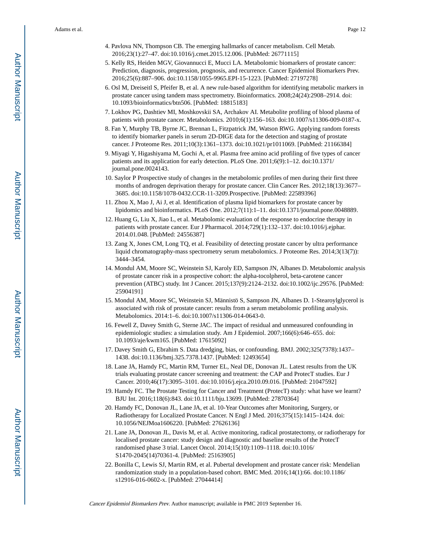- 4. Pavlova NN, Thompson CB. The emerging hallmarks of cancer metabolism. Cell Metab. 2016;23(1):27–47. doi:10.1016/j.cmet.2015.12.006. [PubMed: 26771115]
- 5. Kelly RS, Heiden MGV, Giovannucci E, Mucci LA. Metabolomic biomarkers of prostate cancer: Prediction, diagnosis, progression, prognosis, and recurrence. Cancer Epidemiol Biomarkers Prev. 2016;25(6):887–906. doi:10.1158/1055-9965.EPI-15-1223. [PubMed: 27197278]
- 6. Osl M, Dreiseitl S, Pfeifer B, et al. A new rule-based algorithm for identifying metabolic markers in prostate cancer using tandem mass spectrometry. Bioinformatics. 2008;24(24):2908–2914. doi: 10.1093/bioinformatics/btn506. [PubMed: 18815183]
- 7. Lokhov PG, Dashtiev MI, Moshkovskii SA, Archakov AI. Metabolite profiling of blood plasma of patients with prostate cancer. Metabolomics. 2010;6(1):156–163. doi:10.1007/s11306-009-0187-x.
- 8. Fan Y, Murphy TB, Byrne JC, Brennan L, Fitzpatrick JM, Watson RWG. Applying random forests to identify biomarker panels in serum 2D-DIGE data for the detection and staging of prostate cancer. J Proteome Res. 2011;10(3):1361–1373. doi:10.1021/pr1011069. [PubMed: 21166384]
- 9. Miyagi Y, Higashiyama M, Gochi A, et al. Plasma free amino acid profiling of five types of cancer patients and its application for early detection. PLoS One. 2011;6(9):1–12. doi:10.1371/ journal.pone.0024143.
- 10. Saylor P Prospective study of changes in the metabolomic profiles of men during their first three months of androgen deprivation therapy for prostate cancer. Clin Cancer Res. 2012;18(13):3677– 3685. doi:10.1158/1078-0432.CCR-11-3209.Prospective. [PubMed: 22589396]
- 11. Zhou X, Mao J, Ai J, et al. Identification of plasma lipid biomarkers for prostate cancer by lipidomics and bioinformatics. PLoS One. 2012;7(11):1–11. doi:10.1371/journal.pone.0048889.
- 12. Huang G, Liu X, Jiao L, et al. Metabolomic evaluation of the response to endocrine therapy in patients with prostate cancer. Eur J Pharmacol. 2014;729(1):132–137. doi:10.1016/j.ejphar. 2014.01.048. [PubMed: 24556387]
- 13. Zang X, Jones CM, Long TQ, et al. Feasibility of detecting prostate cancer by ultra performance liquid chromatography-mass spectrometry serum metabolomics. J Proteome Res. 2014;3(13(7)): 3444–3454.
- 14. Mondul AM, Moore SC, Weinstein SJ, Karoly ED, Sampson JN, Albanes D. Metabolomic analysis of prostate cancer risk in a prospective cohort: the alpha-tocolpherol, beta-carotene cancer prevention (ATBC) study. Int J Cancer. 2015;137(9):2124–2132. doi:10.1002/ijc.29576. [PubMed: 25904191]
- 15. Mondul AM, Moore SC, Weinstein SJ, Männistö S, Sampson JN, Albanes D. 1-Stearoylglycerol is associated with risk of prostate cancer: results from a serum metabolomic profiling analysis. Metabolomics. 2014:1–6. doi:10.1007/s11306-014-0643-0.
- 16. Fewell Z, Davey Smith G, Sterne JAC. The impact of residual and unmeasured confounding in epidemiologic studies: a simulation study. Am J Epidemiol. 2007;166(6):646–655. doi: 10.1093/aje/kwm165. [PubMed: 17615092]
- 17. Davey Smith G, Ebrahim S. Data dredging, bias, or confounding. BMJ. 2002;325(7378):1437– 1438. doi:10.1136/bmj.325.7378.1437. [PubMed: 12493654]
- 18. Lane JA, Hamdy FC, Martin RM, Turner EL, Neal DE, Donovan JL. Latest results from the UK trials evaluating prostate cancer screening and treatment: the CAP and ProtecT studies. Eur J Cancer. 2010;46(17):3095–3101. doi:10.1016/j.ejca.2010.09.016. [PubMed: 21047592]
- 19. Hamdy FC. The Prostate Testing for Cancer and Treatment (ProtecT) study: what have we learnt? BJU Int. 2016;118(6):843. doi:10.1111/bju.13699. [PubMed: 27870364]
- 20. Hamdy FC, Donovan JL, Lane JA, et al. 10-Year Outcomes after Monitoring, Surgery, or Radiotherapy for Localized Prostate Cancer. N Engl J Med. 2016;375(15):1415–1424. doi: 10.1056/NEJMoa1606220. [PubMed: 27626136]
- 21. Lane JA, Donovan JL, Davis M, et al. Active monitoring, radical prostatectomy, or radiotherapy for localised prostate cancer: study design and diagnostic and baseline results of the ProtecT randomised phase 3 trial. Lancet Oncol. 2014;15(10):1109–1118. doi:10.1016/ S1470-2045(14)70361-4. [PubMed: 25163905]
- 22. Bonilla C, Lewis SJ, Martin RM, et al. Pubertal development and prostate cancer risk: Mendelian randomization study in a population-based cohort. BMC Med. 2016;14(1):66. doi:10.1186/ s12916-016-0602-x. [PubMed: 27044414]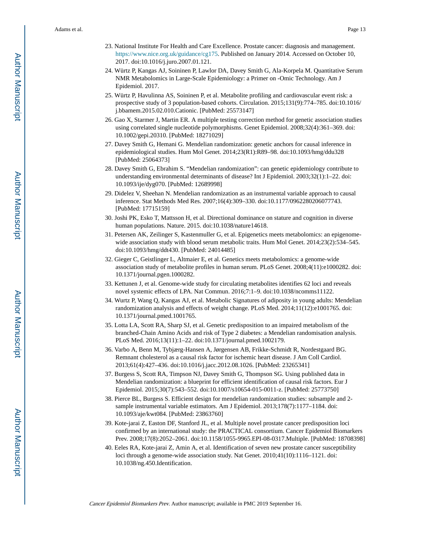- 23. National Institute For Health and Care Excellence. Prostate cancer: diagnosis and management. [https://www.nice.org.uk/guidance/cg175.](https://www.nice.org.uk/guidance/cg175) Published on January 2014. Accessed on October 10, 2017. doi:10.1016/j.juro.2007.01.121.
- 24. Würtz P, Kangas AJ, Soininen P, Lawlor DA, Davey Smith G, Ala-Korpela M. Quantitative Serum NMR Metabolomics in Large-Scale Epidemiology: a Primer on -Omic Technology. Am J Epidemiol. 2017.
- 25. Würtz P, Havulinna AS, Soininen P, et al. Metabolite profiling and cardiovascular event risk: a prospective study of 3 population-based cohorts. Circulation. 2015;131(9):774–785. doi:10.1016/ j.bbamem.2015.02.010.Cationic. [PubMed: 25573147]
- 26. Gao X, Starmer J, Martin ER. A multiple testing correction method for genetic association studies using correlated single nucleotide polymorphisms. Genet Epidemiol. 2008;32(4):361–369. doi: 10.1002/gepi.20310. [PubMed: 18271029]
- 27. Davey Smith G, Hemani G. Mendelian randomization: genetic anchors for causal inference in epidemiological studies. Hum Mol Genet. 2014;23(R1):R89–98. doi:10.1093/hmg/ddu328 [PubMed: 25064373]
- 28. Davey Smith G, Ebrahim S. "Mendelian randomization": can genetic epidemiology contribute to understanding environmental determinants of disease? Int J Epidemiol. 2003;32(1):1–22. doi: 10.1093/ije/dyg070. [PubMed: 12689998]
- 29. Didelez V, Sheehan N. Mendelian randomization as an instrumental variable approach to causal inference. Stat Methods Med Res. 2007;16(4):309–330. doi:10.1177/0962280206077743. [PubMed: 17715159]
- 30. Joshi PK, Esko T, Mattsson H, et al. Directional dominance on stature and cognition in diverse human populations. Nature. 2015. doi:10.1038/nature14618.
- 31. Petersen AK, Zeilinger S, Kastenmuller G, et al. Epigenetics meets metabolomics: an epigenomewide association study with blood serum metabolic traits. Hum Mol Genet. 2014;23(2):534–545. doi:10.1093/hmg/ddt430. [PubMed: 24014485]
- 32. Gieger C, Geistlinger L, Altmaier E, et al. Genetics meets metabolomics: a genome-wide association study of metabolite profiles in human serum. PLoS Genet. 2008;4(11):e1000282. doi: 10.1371/journal.pgen.1000282.
- 33. Kettunen J, et al. Genome-wide study for circulating metabolites identifies 62 loci and reveals novel systemic effects of LPA. Nat Commun. 2016;7:1–9. doi:10.1038/ncomms11122.
- 34. Wurtz P, Wang Q, Kangas AJ, et al. Metabolic Signatures of adiposity in young adults: Mendelian randomization analysis and effects of weight change. PLoS Med. 2014;11(12):e1001765. doi: 10.1371/journal.pmed.1001765.
- 35. Lotta LA, Scott RA, Sharp SJ, et al. Genetic predisposition to an impaired metabolism of the branched-Chain Amino Acids and risk of Type 2 diabetes: a Mendelian randomisation analysis. PLoS Med. 2016;13(11):1–22. doi:10.1371/journal.pmed.1002179.
- 36. Varbo A, Benn M, Tybjærg-Hansen A, Jørgensen AB, Frikke-Schmidt R, Nordestgaard BG. Remnant cholesterol as a causal risk factor for ischemic heart disease. J Am Coll Cardiol. 2013;61(4):427–436. doi:10.1016/j.jacc.2012.08.1026. [PubMed: 23265341]
- 37. Burgess S, Scott RA, Timpson NJ, Davey Smith G, Thompson SG. Using published data in Mendelian randomization: a blueprint for efficient identification of causal risk factors. Eur J Epidemiol. 2015;30(7):543–552. doi:10.1007/s10654-015-0011-z. [PubMed: 25773750]
- 38. Pierce BL, Burgess S. Efficient design for mendelian randomization studies: subsample and 2 sample instrumental variable estimators. Am J Epidemiol. 2013;178(7):1177–1184. doi: 10.1093/aje/kwt084. [PubMed: 23863760]
- 39. Kote-jarai Z, Easton DF, Stanford JL, et al. Multiple novel prostate cancer predisposition loci confirmed by an international study: the PRACTICAL consortium. Cancer Epidemiol Biomarkers Prev. 2008;17(8):2052–2061. doi:10.1158/1055-9965.EPI-08-0317.Multiple. [PubMed: 18708398]
- 40. Eeles RA, Kote-jarai Z, Amin A, et al. Identification of seven new prostate cancer susceptibility loci through a genome-wide association study. Nat Genet. 2010;41(10):1116–1121. doi: 10.1038/ng.450.Identification.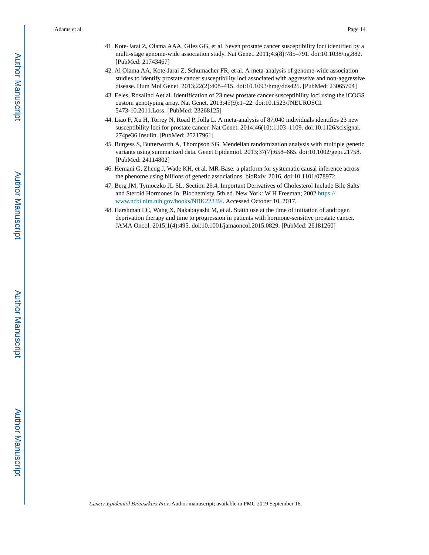- 41. Kote-Jarai Z, Olama AAA, Giles GG, et al. Seven prostate cancer susceptibility loci identified by a multi-stage genome-wide association study. Nat Genet. 2011;43(8):785–791. doi:10.1038/ng.882. [PubMed: 21743467]
- 42. Al Olama AA, Kote-Jarai Z, Schumacher FR, et al. A meta-analysis of genome-wide association studies to identify prostate cancer susceptibility loci associated with aggressive and non-aggressive disease. Hum Mol Genet. 2013;22(2):408–415. doi:10.1093/hmg/dds425. [PubMed: 23065704]
- 43. Eeles, Rosalind Aet al. Identification of 23 new prostate cancer susceptibility loci using the iCOGS custom genotyping array. Nat Genet. 2013;45(9):1–22. doi:10.1523/JNEUROSCI. 5473-10.2011.Loss. [PubMed: 23268125]
- 44. Liao F, Xu H, Torrey N, Road P, Jolla L. A meta-analysis of 87,040 individuals identifies 23 new susceptibility loci for prostate cancer. Nat Genet. 2014;46(10):1103–1109. doi:10.1126/scisignal. 274pe36.Insulin. [PubMed: 25217961]
- 45. Burgess S, Butterworth A, Thompson SG. Mendelian randomization analysis with multiple genetic variants using summarized data. Genet Epidemiol. 2013;37(7):658–665. doi:10.1002/gepi.21758. [PubMed: 24114802]
- 46. Hemani G, Zheng J, Wade KH, et al. MR-Base: a platform for systematic causal inference across the phenome using billions of genetic associations. bioRxiv. 2016. doi:10.1101/078972
- 47. Berg JM, Tymoczko JL SL. Section 26.4, Important Derivatives of Cholesterol Include Bile Salts and Steroid Hormones In: Biochemisty. 5th ed. New York: W H Freeman; 2002 [https://](https://www.ncbi.nlm.nih.gov/books/NBK22339/) [www.ncbi.nlm.nih.gov/books/NBK22339/.](https://www.ncbi.nlm.nih.gov/books/NBK22339/) Accessed October 10, 2017.
- 48. Harshman LC, Wang X, Nakabayashi M, et al. Statin use at the time of initiation of androgen deprivation therapy and time to progression in patients with hormone-sensitive prostate cancer. JAMA Oncol. 2015;1(4):495. doi:10.1001/jamaoncol.2015.0829. [PubMed: 26181260]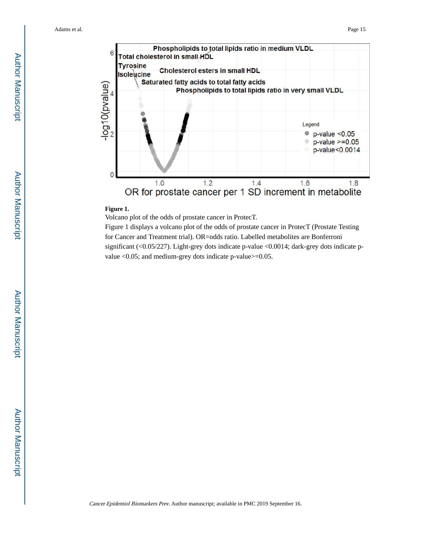

#### **Figure 1.**

Volcano plot of the odds of prostate cancer in ProtecT.

Figure 1 displays a volcano plot of the odds of prostate cancer in ProtecT (Prostate Testing for Cancer and Treatment trial). OR=odds ratio. Labelled metabolites are Bonferroni significant (<0.05/227). Light-grey dots indicate p-value <0.0014; dark-grey dots indicate pvalue <0.05; and medium-grey dots indicate p-value>=0.05.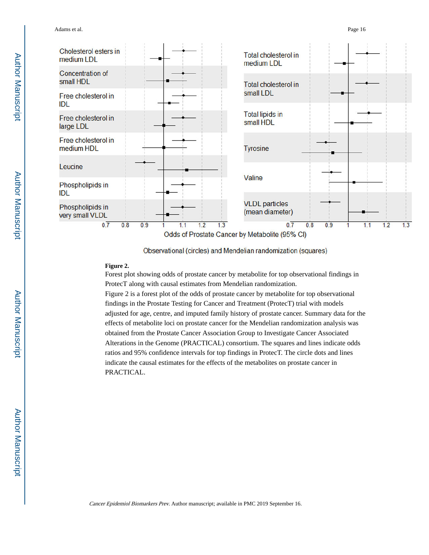

Observational (circles) and Mendelian randomization (squares)

#### **Figure 2.**

Forest plot showing odds of prostate cancer by metabolite for top observational findings in ProtecT along with causal estimates from Mendelian randomization.

Figure 2 is a forest plot of the odds of prostate cancer by metabolite for top observational findings in the Prostate Testing for Cancer and Treatment (ProtecT) trial with models adjusted for age, centre, and imputed family history of prostate cancer. Summary data for the effects of metabolite loci on prostate cancer for the Mendelian randomization analysis was obtained from the Prostate Cancer Association Group to Investigate Cancer Associated Alterations in the Genome (PRACTICAL) consortium. The squares and lines indicate odds ratios and 95% confidence intervals for top findings in ProtecT. The circle dots and lines indicate the causal estimates for the effects of the metabolites on prostate cancer in PRACTICAL.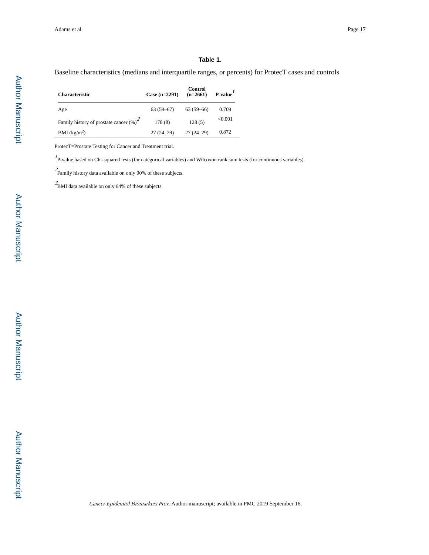#### **Table 1.**

Baseline characteristics (medians and interquartile ranges, or percents) for ProtecT cases and controls

| <b>Characteristic</b>                      | Case $(n=2291)$ | Control<br>$(n=2661)$ | $P-valueI$ |
|--------------------------------------------|-----------------|-----------------------|------------|
| Age                                        | $63(59-67)$     | $63(59-66)$           | 0.709      |
| Family history of prostate cancer $(\%)^2$ | 170(8)          | 128(5)                | < 0.001    |
| $BMI$ (kg/m <sup>2</sup> )                 | $27(24-29)$     | $27(24-29)$           | 0.872      |

ProtecT=Prostate Testing for Cancer and Treatment trial.

<sup>1</sup>P-value based on Chi-squared tests (for categorical variables) and Wilcoxon rank sum tests (for continuous variables).

 $2\$ Family history data available on only 90% of these subjects.

3 BMI data available on only 64% of these subjects.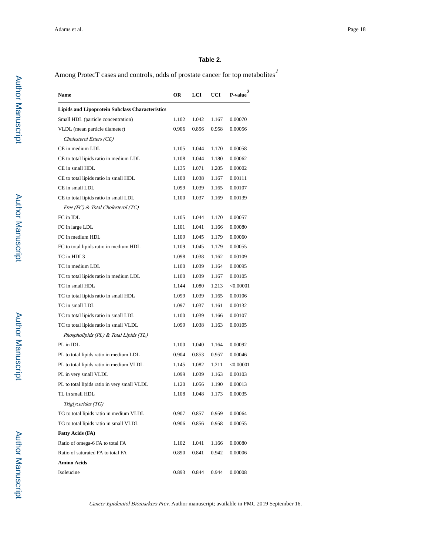#### **Table 2.**

Among ProtecT cases and controls, odds of prostate cancer for top metabolites $^{1}$ 

| Name                                                   | OR    | LCI   | UCI   | $P-value2$ |
|--------------------------------------------------------|-------|-------|-------|------------|
| <b>Lipids and Lipoprotein Subclass Characteristics</b> |       |       |       |            |
| Small HDL (particle concentration)                     | 1.102 | 1.042 | 1.167 | 0.00070    |
| VLDL (mean particle diameter)                          | 0.906 | 0.856 | 0.958 | 0.00056    |
| Cholesterol Esters (CE)                                |       |       |       |            |
| CE in medium LDL                                       | 1.105 | 1.044 | 1.170 | 0.00058    |
| CE to total lipids ratio in medium LDL                 | 1.108 | 1.044 | 1.180 | 0.00062    |
| CE in small HDL                                        | 1.135 | 1.071 | 1.205 | 0.00002    |
| CE to total lipids ratio in small HDL                  | 1.100 | 1.038 | 1.167 | 0.00111    |
| CE in small LDL                                        | 1.099 | 1.039 | 1.165 | 0.00107    |
| CE to total lipids ratio in small LDL                  | 1.100 | 1.037 | 1.169 | 0.00139    |
| Free (FC) & Total Cholesterol (TC)                     |       |       |       |            |
| FC in IDL                                              | 1.105 | 1.044 | 1.170 | 0.00057    |
| FC in large LDL                                        | 1.101 | 1.041 | 1.166 | 0.00080    |
| FC in medium HDL                                       | 1.109 | 1.045 | 1.179 | 0.00060    |
| FC to total lipids ratio in medium HDL                 | 1.109 | 1.045 | 1.179 | 0.00055    |
| TC in HDL3                                             | 1.098 | 1.038 | 1.162 | 0.00109    |
| TC in medium LDL                                       | 1.100 | 1.039 | 1.164 | 0.00095    |
| TC to total lipids ratio in medium LDL                 | 1.100 | 1.039 | 1.167 | 0.00105    |
| TC in small HDL                                        | 1.144 | 1.080 | 1.213 | < 0.00001  |
| TC to total lipids ratio in small HDL                  | 1.099 | 1.039 | 1.165 | 0.00106    |
| TC in small LDL                                        | 1.097 | 1.037 | 1.161 | 0.00132    |
| TC to total lipids ratio in small LDL                  | 1.100 | 1.039 | 1.166 | 0.00107    |
| TC to total lipids ratio in small VLDL                 | 1.099 | 1.038 | 1.163 | 0.00105    |
| Phospholipids (PL) & Total Lipids (TL)                 |       |       |       |            |
| PL in IDL                                              | 1.100 | 1.040 | 1.164 | 0.00092    |
| PL to total lipids ratio in medium LDL                 | 0.904 | 0.853 | 0.957 | 0.00046    |
| PL to total lipids ratio in medium VLDL                | 1.145 | 1.082 | 1.211 | < 0.00001  |
| PL in very small VLDL                                  | 1.099 | 1.039 | 1.163 | 0.00103    |
| PL to total lipids ratio in very small VLDL            | 1.120 | 1.056 | 1.190 | 0.00013    |
| TL in small HDL                                        | 1.108 | 1.048 | 1.173 | 0.00035    |
| Triglycerides (TG)                                     |       |       |       |            |
| TG to total lipids ratio in medium VLDL                | 0.907 | 0.857 | 0.959 | 0.00064    |
| TG to total lipids ratio in small VLDL                 | 0.906 | 0.856 | 0.958 | 0.00055    |
| <b>Fatty Acids (FA)</b>                                |       |       |       |            |
| Ratio of omega-6 FA to total FA                        | 1.102 | 1.041 | 1.166 | 0.00080    |
| Ratio of saturated FA to total FA                      | 0.890 | 0.841 | 0.942 | 0.00006    |
| <b>Amino Acids</b>                                     |       |       |       |            |
| Isoleucine                                             | 0.893 | 0.844 | 0.944 | 0.00008    |